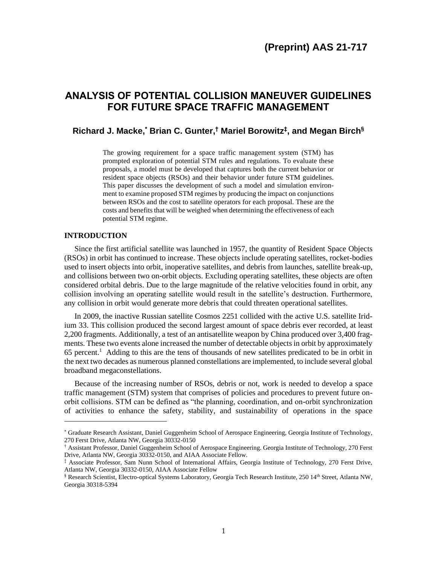# **ANALYSIS OF POTENTIAL COLLISION MANEUVER GUIDELINES FOR FUTURE SPACE TRAFFIC MANAGEMENT**

# **Richard J. Macke, \* Brian C. Gunter, † Mariel Borowitz‡ , and Megan Birch§**

The growing requirement for a space traffic management system (STM) has prompted exploration of potential STM rules and regulations. To evaluate these proposals, a model must be developed that captures both the current behavior or resident space objects (RSOs) and their behavior under future STM guidelines. This paper discusses the development of such a model and simulation environment to examine proposed STM regimes by producing the impact on conjunctions between RSOs and the cost to satellite operators for each proposal. These are the costs and benefits that will be weighed when determining the effectiveness of each potential STM regime.

## **INTRODUCTION**

Since the first artificial satellite was launched in 1957, the quantity of Resident Space Objects (RSOs) in orbit has continued to increase. These objects include operating satellites, rocket-bodies used to insert objects into orbit, inoperative satellites, and debris from launches, satellite break-up, and collisions between two on-orbit objects. Excluding operating satellites, these objects are often considered orbital debris. Due to the large magnitude of the relative velocities found in orbit, any collision involving an operating satellite would result in the satellite's destruction. Furthermore, any collision in orbit would generate more debris that could threaten operational satellites.

In 2009, the inactive Russian satellite Cosmos 2251 collided with the active U.S. satellite Iridium 33. This collision produced the second largest amount of space debris ever recorded, at least 2,200 fragments. Additionally, a test of an antisatellite weapon by China produced over 3,400 fragments. These two events alone increased the number of detectable objects in orbit by approximately 65 percent. 1 Adding to this are the tens of thousands of new satellites predicated to be in orbit in the next two decades as numerous planned constellations are implemented, to include several global broadband megaconstellations.

Because of the increasing number of RSOs, debris or not, work is needed to develop a space traffic management (STM) system that comprises of policies and procedures to prevent future onorbit collisions. STM can be defined as "the planning, coordination, and on-orbit synchronization of activities to enhance the safety, stability, and sustainability of operations in the space

<sup>\*</sup> Graduate Research Assistant, Daniel Guggenheim School of Aerospace Engineering, Georgia Institute of Technology, 270 Ferst Drive, Atlanta NW, Georgia 30332-0150

<sup>†</sup> Assistant Professor, Daniel Guggenheim School of Aerospace Engineering. Georgia Institute of Technology, 270 Ferst Drive, Atlanta NW, Georgia 30332-0150, and AIAA Associate Fellow.

<sup>‡</sup> Associate Professor, Sam Nunn School of International Affairs, Georgia Institute of Technology, 270 Ferst Drive, Atlanta NW, Georgia 30332-0150, AIAA Associate Fellow

<sup>§</sup> Research Scientist, Electro-optical Systems Laboratory, Georgia Tech Research Institute, 250 14th Street, Atlanta NW, Georgia 30318-5394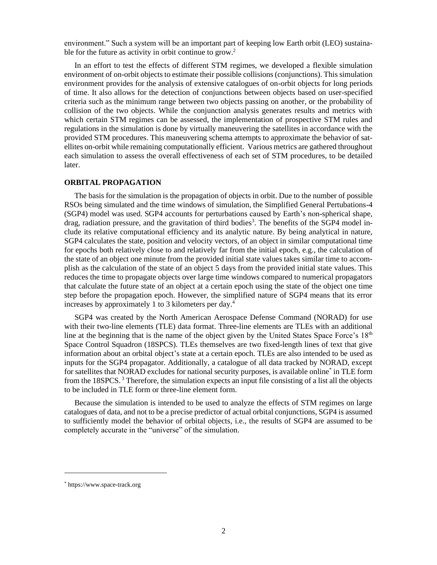environment." Such a system will be an important part of keeping low Earth orbit (LEO) sustainable for the future as activity in orbit continue to grow.<sup>2</sup>

In an effort to test the effects of different STM regimes, we developed a flexible simulation environment of on-orbit objects to estimate their possible collisions (conjunctions). This simulation environment provides for the analysis of extensive catalogues of on-orbit objects for long periods of time. It also allows for the detection of conjunctions between objects based on user-specified criteria such as the minimum range between two objects passing on another, or the probability of collision of the two objects. While the conjunction analysis generates results and metrics with which certain STM regimes can be assessed, the implementation of prospective STM rules and regulations in the simulation is done by virtually maneuvering the satellites in accordance with the provided STM procedures. This maneuvering schema attempts to approximate the behavior of satellites on-orbit while remaining computationally efficient. Various metrics are gathered throughout each simulation to assess the overall effectiveness of each set of STM procedures, to be detailed later.

#### **ORBITAL PROPAGATION**

The basis for the simulation is the propagation of objects in orbit. Due to the number of possible RSOs being simulated and the time windows of simulation, the Simplified General Pertubations-4 (SGP4) model was used. SGP4 accounts for perturbations caused by Earth's non-spherical shape, drag, radiation pressure, and the gravitation of third bodies<sup>3</sup>. The benefits of the SGP4 model include its relative computational efficiency and its analytic nature. By being analytical in nature, SGP4 calculates the state, position and velocity vectors, of an object in similar computational time for epochs both relatively close to and relatively far from the initial epoch, e.g., the calculation of the state of an object one minute from the provided initial state values takes similar time to accomplish as the calculation of the state of an object 5 days from the provided initial state values. This reduces the time to propagate objects over large time windows compared to numerical propagators that calculate the future state of an object at a certain epoch using the state of the object one time step before the propagation epoch. However, the simplified nature of SGP4 means that its error increases by approximately 1 to 3 kilometers per day. 4

SGP4 was created by the North American Aerospace Defense Command (NORAD) for use with their two-line elements (TLE) data format. Three-line elements are TLEs with an additional line at the beginning that is the name of the object given by the United States Space Force's  $18<sup>th</sup>$ Space Control Squadron (18SPCS). TLEs themselves are two fixed-length lines of text that give information about an orbital object's state at a certain epoch. TLEs are also intended to be used as inputs for the SGP4 propagator. Additionally, a catalogue of all data tracked by NORAD, except for satellites that NORAD excludes for national security purposes, is available online\* in TLE form from the  $18SPCS$ .<sup>3</sup> Therefore, the simulation expects an input file consisting of a list all the objects to be included in TLE form or three-line element form.

Because the simulation is intended to be used to analyze the effects of STM regimes on large catalogues of data, and not to be a precise predictor of actual orbital conjunctions, SGP4 is assumed to sufficiently model the behavior of orbital objects, i.e., the results of SGP4 are assumed to be completely accurate in the "universe" of the simulation.

<sup>\*</sup> https://www.space-track.org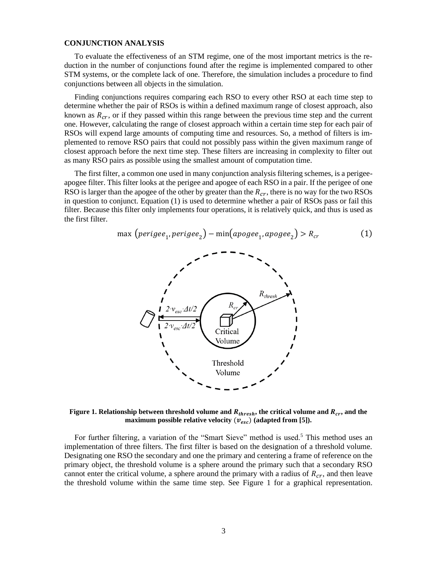#### **CONJUNCTION ANALYSIS**

To evaluate the effectiveness of an STM regime, one of the most important metrics is the reduction in the number of conjunctions found after the regime is implemented compared to other STM systems, or the complete lack of one. Therefore, the simulation includes a procedure to find conjunctions between all objects in the simulation.

Finding conjunctions requires comparing each RSO to every other RSO at each time step to determine whether the pair of RSOs is within a defined maximum range of closest approach, also known as  $R_{cr}$ , or if they passed within this range between the previous time step and the current one. However, calculating the range of closest approach within a certain time step for each pair of RSOs will expend large amounts of computing time and resources. So, a method of filters is implemented to remove RSO pairs that could not possibly pass within the given maximum range of closest approach before the next time step. These filters are increasing in complexity to filter out as many RSO pairs as possible using the smallest amount of computation time.

The first filter, a common one used in many conjunction analysis filtering schemes, is a perigeeapogee filter. This filter looks at the perigee and apogee of each RSO in a pair. If the perigee of one RSO is larger than the apogee of the other by greater than the  $R_{cr}$ , there is no way for the two RSOs in question to conjunct. Equation (1) is used to determine whether a pair of RSOs pass or fail this filter. Because this filter only implements four operations, it is relatively quick, and thus is used as the first filter.

$$
\max\left(\text{perigee}_1, \text{perigee}_2\right) - \min\left(\text{apogee}_1, \text{apogee}_2\right) > R_{cr} \tag{1}
$$



**Figure** 1. Relationship between threshold volume and  $R_{thresh}$ , the critical volume and  $R_{cr}$ , and the **maximum possible relative velocity**  $(v_{esc})$  **(adapted from [5]).** 

For further filtering, a variation of the "Smart Sieve" method is used.<sup>5</sup> This method uses an implementation of three filters. The first filter is based on the designation of a threshold volume. Designating one RSO the secondary and one the primary and centering a frame of reference on the primary object, the threshold volume is a sphere around the primary such that a secondary RSO cannot enter the critical volume, a sphere around the primary with a radius of  $R_{cr}$ , and then leave the threshold volume within the same time step. See Figure 1 for a graphical representation.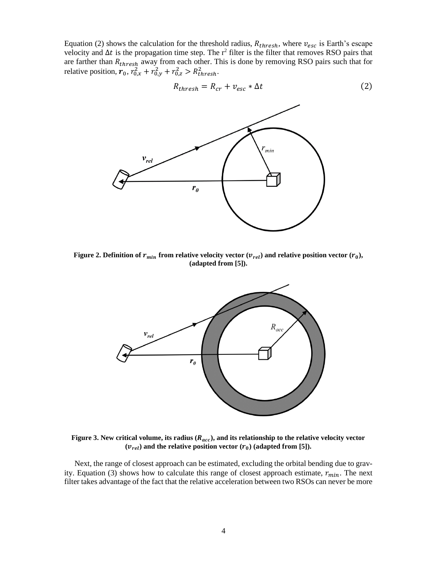Equation (2) shows the calculation for the threshold radius,  $R_{thresh}$ , where  $v_{esc}$  is Earth's escape velocity and  $\Delta t$  is the propagation time step. The r<sup>2</sup> filter is the filter that removes RSO pairs that are farther than  $R_{thresh}$  away from each other. This is done by removing RSO pairs such that for relative position,  $r_0$ ,  $r_{0,x}^2 + r_{0,y}^2 + r_{0,z}^2 > R_{thresh}^2$ .

$$
R_{thresh} = R_{cr} + v_{esc} * \Delta t \tag{2}
$$

min



 $r_{\theta}$ 

 $v_{rel}$ 



**Figure** 3. New critical volume, its radius  $(R_{acc})$ , and its relationship to the relative velocity vector  $(v_{rel})$  and the relative position vector  $(r_0)$  (adapted from [5]).

Next, the range of closest approach can be estimated, excluding the orbital bending due to gravity. Equation (3) shows how to calculate this range of closest approach estimate,  $r_{min}$ . The next filter takes advantage of the fact that the relative acceleration between two RSOs can never be more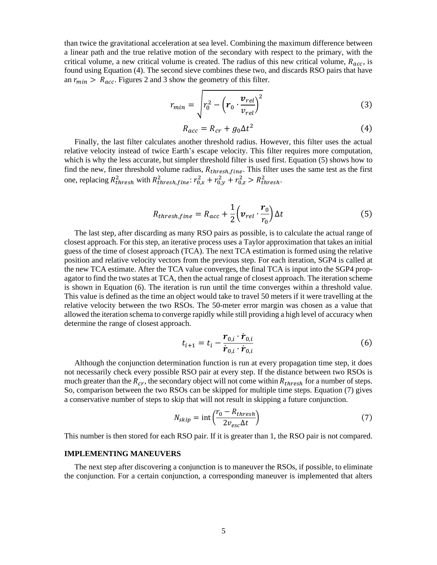than twice the gravitational acceleration at sea level. Combining the maximum difference between a linear path and the true relative motion of the secondary with respect to the primary, with the critical volume, a new critical volume is created. The radius of this new critical volume,  $R_{acc}$ , is found using Equation (4). The second sieve combines these two, and discards RSO pairs that have an  $r_{min} > R_{acc}$ . Figures 2 and 3 show the geometry of this filter.

$$
r_{min} = \sqrt{r_0^2 - \left(r_0 \cdot \frac{v_{rel}}{v_{rel}}\right)^2}
$$
 (3)

$$
R_{acc} = R_{cr} + g_0 \Delta t^2 \tag{4}
$$

Finally, the last filter calculates another threshold radius. However, this filter uses the actual relative velocity instead of twice Earth's escape velocity. This filter requires more computation, which is why the less accurate, but simpler threshold filter is used first. Equation (5) shows how to find the new, finer threshold volume radius,  $R_{thresh, fine}$ . This filter uses the same test as the first one, replacing  $R_{thresh}^2$  with  $R_{thresh,fine}^2$ :  $r_{0,x}^2 + r_{0,y}^2 + r_{0,z}^2 > R_{thresh}^2$ .

$$
R_{thresh,fine} = R_{acc} + \frac{1}{2} \left( \boldsymbol{v}_{rel} \cdot \frac{\boldsymbol{r}_0}{r_0} \right) \Delta t \tag{5}
$$

The last step, after discarding as many RSO pairs as possible, is to calculate the actual range of closest approach. For this step, an iterative process uses a Taylor approximation that takes an initial guess of the time of closest approach (TCA). The next TCA estimation is formed using the relative position and relative velocity vectors from the previous step. For each iteration, SGP4 is called at the new TCA estimate. After the TCA value converges, the final TCA is input into the SGP4 propagator to find the two states at TCA, then the actual range of closest approach. The iteration scheme is shown in Equation (6). The iteration is run until the time converges within a threshold value. This value is defined as the time an object would take to travel 50 meters if it were travelling at the relative velocity between the two RSOs. The 50-meter error margin was chosen as a value that allowed the iteration schema to converge rapidly while still providing a high level of accuracy when determine the range of closest approach.

$$
t_{i+1} = t_i - \frac{\bm{r}_{0,i} \cdot \dot{\bm{r}}_{0,i}}{\dot{\bm{r}}_{0,i} \cdot \dot{\bm{r}}_{0,i}}
$$
 (6)

Although the conjunction determination function is run at every propagation time step, it does not necessarily check every possible RSO pair at every step. If the distance between two RSOs is much greater than the  $R_{cr}$ , the secondary object will not come within  $R_{thresh}$  for a number of steps. So, comparison between the two RSOs can be skipped for multiple time steps. Equation (7) gives a conservative number of steps to skip that will not result in skipping a future conjunction.

$$
N_{skip} = \text{int}\left(\frac{r_0 - R_{thresh}}{2v_{esc}\Delta t}\right) \tag{7}
$$

This number is then stored for each RSO pair. If it is greater than 1, the RSO pair is not compared.

#### **IMPLEMENTING MANEUVERS**

The next step after discovering a conjunction is to maneuver the RSOs, if possible, to eliminate the conjunction. For a certain conjunction, a corresponding maneuver is implemented that alters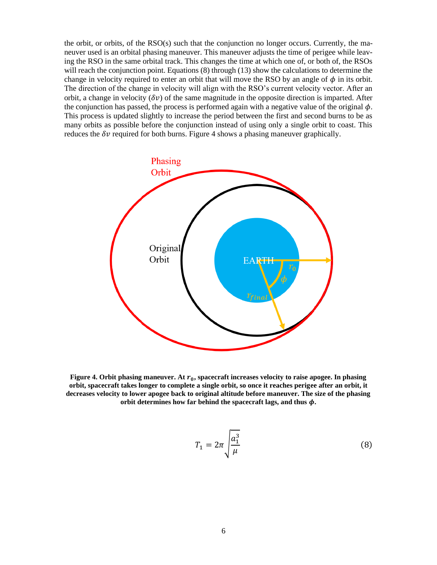the orbit, or orbits, of the RSO(s) such that the conjunction no longer occurs. Currently, the maneuver used is an orbital phasing maneuver. This maneuver adjusts the time of perigee while leaving the RSO in the same orbital track. This changes the time at which one of, or both of, the RSOs will reach the conjunction point. Equations (8) through (13) show the calculations to determine the change in velocity required to enter an orbit that will move the RSO by an angle of  $\phi$  in its orbit. The direction of the change in velocity will align with the RSO's current velocity vector. After an orbit, a change in velocity ( $\delta v$ ) of the same magnitude in the opposite direction is imparted. After the conjunction has passed, the process is performed again with a negative value of the original  $\phi$ . This process is updated slightly to increase the period between the first and second burns to be as many orbits as possible before the conjunction instead of using only a single orbit to coast. This reduces the  $\delta v$  required for both burns. Figure 4 shows a phasing maneuver graphically.



**Figure** 4. Orbit phasing maneuver. At  $r_0$ , spacecraft increases velocity to raise apogee. In phasing **orbit, spacecraft takes longer to complete a single orbit, so once it reaches perigee after an orbit, it decreases velocity to lower apogee back to original altitude before maneuver. The size of the phasing**  orbit determines how far behind the spacecraft lags, and thus  $\phi$ .

$$
T_1 = 2\pi \sqrt{\frac{a_1^3}{\mu}}\tag{8}
$$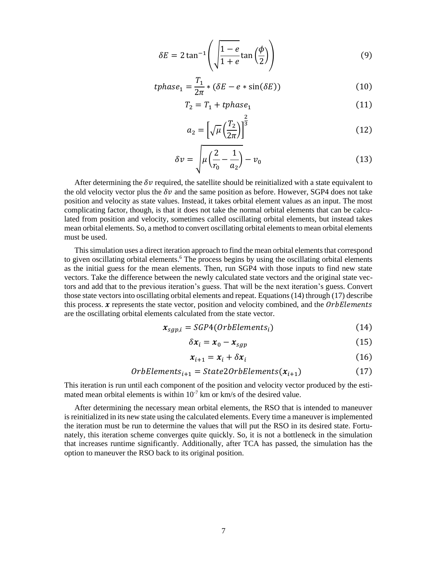$$
\delta E = 2 \tan^{-1} \left( \sqrt{\frac{1 - e}{1 + e}} \tan \left( \frac{\phi}{2} \right) \right) \tag{9}
$$

$$
tphase_1 = \frac{T_1}{2\pi} * (\delta E - e * \sin(\delta E))
$$
\n(10)

$$
T_2 = T_1 + tphase_1 \tag{11}
$$

$$
a_2 = \left[\sqrt{\mu} \left(\frac{T_2}{2\pi}\right)\right]^{\frac{2}{3}}\tag{12}
$$

$$
\delta v = \sqrt{\mu \left(\frac{2}{r_0} - \frac{1}{a_2}\right)} - v_0 \tag{13}
$$

After determining the  $\delta v$  required, the satellite should be reinitialized with a state equivalent to the old velocity vector plus the  $\delta v$  and the same position as before. However, SGP4 does not take position and velocity as state values. Instead, it takes orbital element values as an input. The most complicating factor, though, is that it does not take the normal orbital elements that can be calculated from position and velocity, sometimes called oscillating orbital elements, but instead takes mean orbital elements. So, a method to convert oscillating orbital elements to mean orbital elements must be used.

This simulation uses a direct iteration approach to find the mean orbital elements that correspond to given oscillating orbital elements. <sup>6</sup> The process begins by using the oscillating orbital elements as the initial guess for the mean elements. Then, run SGP4 with those inputs to find new state vectors. Take the difference between the newly calculated state vectors and the original state vectors and add that to the previous iteration's guess. That will be the next iteration's guess. Convert those state vectors into oscillating orbital elements and repeat. Equations (14) through (17) describe this process.  $\boldsymbol{\chi}$  represents the state vector, position and velocity combined, and the OrbElements are the oscillating orbital elements calculated from the state vector.

$$
x_{sgp,i} = SGP4(OrbElements_i)
$$
 (14)

$$
\delta x_i = x_0 - x_{sgp} \tag{15}
$$

$$
x_{i+1} = x_i + \delta x_i \tag{16}
$$

OrbElements<sub>i+1</sub> = State2OrbElements
$$
(x_{i+1})
$$
 (17)

This iteration is run until each component of the position and velocity vector produced by the estimated mean orbital elements is within  $10^{-7}$  km or km/s of the desired value.

After determining the necessary mean orbital elements, the RSO that is intended to maneuver is reinitialized in its new state using the calculated elements. Every time a maneuver is implemented the iteration must be run to determine the values that will put the RSO in its desired state. Fortunately, this iteration scheme converges quite quickly. So, it is not a bottleneck in the simulation that increases runtime significantly. Additionally, after TCA has passed, the simulation has the option to maneuver the RSO back to its original position.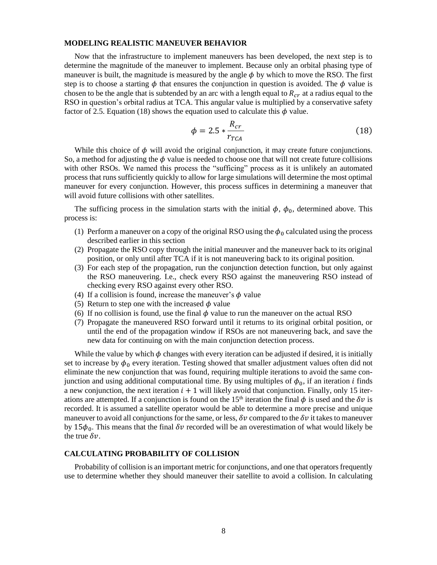#### **MODELING REALISTIC MANEUVER BEHAVIOR**

Now that the infrastructure to implement maneuvers has been developed, the next step is to determine the magnitude of the maneuver to implement. Because only an orbital phasing type of maneuver is built, the magnitude is measured by the angle  $\phi$  by which to move the RSO. The first step is to choose a starting  $\phi$  that ensures the conjunction in question is avoided. The  $\phi$  value is chosen to be the angle that is subtended by an arc with a length equal to  $R_{cr}$  at a radius equal to the RSO in question's orbital radius at TCA. This angular value is multiplied by a conservative safety factor of 2.5. Equation (18) shows the equation used to calculate this  $\phi$  value.

$$
\phi = 2.5 * \frac{R_{cr}}{r_{TCA}} \tag{18}
$$

While this choice of  $\phi$  will avoid the original conjunction, it may create future conjunctions. So, a method for adjusting the  $\phi$  value is needed to choose one that will not create future collisions with other RSOs. We named this process the "sufficing" process as it is unlikely an automated process that runs sufficiently quickly to allow for large simulations will determine the most optimal maneuver for every conjunction. However, this process suffices in determining a maneuver that will avoid future collisions with other satellites.

The sufficing process in the simulation starts with the initial  $\phi$ ,  $\phi_0$ , determined above. This process is:

- (1) Perform a maneuver on a copy of the original RSO using the  $\phi_0$  calculated using the process described earlier in this section
- (2) Propagate the RSO copy through the initial maneuver and the maneuver back to its original position, or only until after TCA if it is not maneuvering back to its original position.
- (3) For each step of the propagation, run the conjunction detection function, but only against the RSO maneuvering. I.e., check every RSO against the maneuvering RSO instead of checking every RSO against every other RSO.
- (4) If a collision is found, increase the maneuver's  $\phi$  value
- (5) Return to step one with the increased  $\phi$  value
- (6) If no collision is found, use the final  $\phi$  value to run the maneuver on the actual RSO
- (7) Propagate the maneuvered RSO forward until it returns to its original orbital position, or until the end of the propagation window if RSOs are not maneuvering back, and save the new data for continuing on with the main conjunction detection process.

While the value by which  $\phi$  changes with every iteration can be adjusted if desired, it is initially set to increase by  $\phi_0$  every iteration. Testing showed that smaller adjustment values often did not eliminate the new conjunction that was found, requiring multiple iterations to avoid the same conjunction and using additional computational time. By using multiples of  $\phi_0$ , if an iteration *i* finds a new conjunction, the next iteration  $i + 1$  will likely avoid that conjunction. Finally, only 15 iterations are attempted. If a conjunction is found on the 15<sup>th</sup> iteration the final  $\phi$  is used and the  $\delta v$  is recorded. It is assumed a satellite operator would be able to determine a more precise and unique maneuver to avoid all conjunctions for the same, or less,  $\delta v$  compared to the  $\delta v$  it takes to maneuver by 15 $\phi_0$ . This means that the final  $\delta v$  recorded will be an overestimation of what would likely be the true  $\delta v$ .

#### **CALCULATING PROBABILITY OF COLLISION**

Probability of collision is an important metric for conjunctions, and one that operators frequently use to determine whether they should maneuver their satellite to avoid a collision. In calculating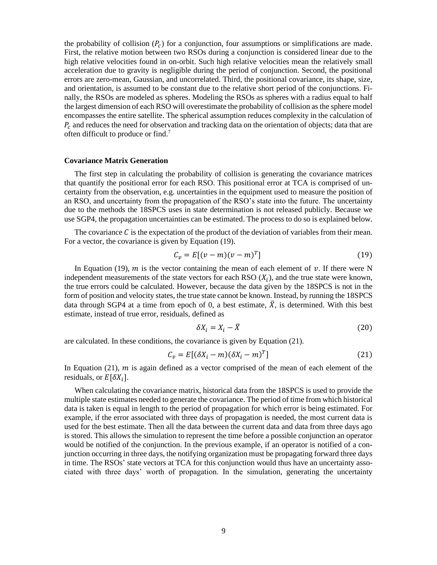the probability of collision  $(P_c)$  for a conjunction, four assumptions or simplifications are made. First, the relative motion between two RSOs during a conjunction is considered linear due to the high relative velocities found in on-orbit. Such high relative velocities mean the relatively small acceleration due to gravity is negligible during the period of conjunction. Second, the positional errors are zero-mean, Gaussian, and uncorrelated. Third, the positional covariance, its shape, size, and orientation, is assumed to be constant due to the relative short period of the conjunctions. Finally, the RSOs are modeled as spheres. Modeling the RSOs as spheres with a radius equal to half the largest dimension of each RSO will overestimate the probability of collision as the sphere model encompasses the entire satellite. The spherical assumption reduces complexity in the calculation of  $P_c$  and reduces the need for observation and tracking data on the orientation of objects; data that are often difficult to produce or find. 7

#### **Covariance Matrix Generation**

The first step in calculating the probability of collision is generating the covariance matrices that quantify the positional error for each RSO. This positional error at TCA is comprised of uncertainty from the observation, e.g. uncertainties in the equipment used to measure the position of an RSO, and uncertainty from the propagation of the RSO's state into the future. The uncertainty due to the methods the 18SPCS uses in state determination is not released publicly. Because we use SGP4, the propagation uncertainties can be estimated. The process to do so is explained below.

The covariance  $\mathcal C$  is the expectation of the product of the deviation of variables from their mean. For a vector, the covariance is given by Equation (19).

$$
C_v = E[(v - m)(v - m)^T]
$$
\n(19)

In Equation (19),  $m$  is the vector containing the mean of each element of  $v$ . If there were N independent measurements of the state vectors for each RSO  $(X_i)$ , and the true state were known, the true errors could be calculated. However, because the data given by the 18SPCS is not in the form of position and velocity states, the true state cannot be known. Instead, by running the 18SPCS data through SGP4 at a time from epoch of 0, a best estimate,  $\overline{X}$ , is determined. With this best estimate, instead of true error, residuals, defined as

$$
\delta X_i = X_i - \bar{X} \tag{20}
$$

are calculated. In these conditions, the covariance is given by Equation (21).

$$
C_v = E[(\delta X_i - m)(\delta X_i - m)^T]
$$
\n(21)

In Equation (21),  $m$  is again defined as a vector comprised of the mean of each element of the residuals, or  $E[\delta X_i]$ .

When calculating the covariance matrix, historical data from the 18SPCS is used to provide the multiple state estimates needed to generate the covariance. The period of time from which historical data is taken is equal in length to the period of propagation for which error is being estimated. For example, if the error associated with three days of propagation is needed, the most current data is used for the best estimate. Then all the data between the current data and data from three days ago is stored. This allows the simulation to represent the time before a possible conjunction an operator would be notified of the conjunction. In the previous example, if an operator is notified of a conjunction occurring in three days, the notifying organization must be propagating forward three days in time. The RSOs' state vectors at TCA for this conjunction would thus have an uncertainty associated with three days' worth of propagation. In the simulation, generating the uncertainty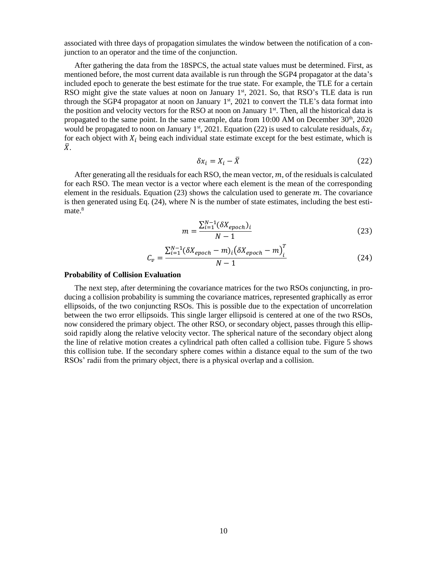associated with three days of propagation simulates the window between the notification of a conjunction to an operator and the time of the conjunction.

After gathering the data from the 18SPCS, the actual state values must be determined. First, as mentioned before, the most current data available is run through the SGP4 propagator at the data's included epoch to generate the best estimate for the true state. For example, the TLE for a certain RSO might give the state values at noon on January  $1<sup>st</sup>$ , 2021. So, that RSO's TLE data is run through the SGP4 propagator at noon on January 1<sup>st</sup>, 2021 to convert the TLE's data format into the position and velocity vectors for the RSO at noon on January 1<sup>st</sup>. Then, all the historical data is propagated to the same point. In the same example, data from 10:00 AM on December  $30<sup>th</sup>$ , 2020 would be propagated to noon on January 1<sup>st</sup>, 2021. Equation (22) is used to calculate residuals,  $\delta x_i$ for each object with  $X_i$  being each individual state estimate except for the best estimate, which is  $\bar{X}$ .

$$
\delta x_i = X_i - \bar{X} \tag{22}
$$

After generating all the residuals for each RSO, the mean vector,  $m$ , of the residuals is calculated for each RSO. The mean vector is a vector where each element is the mean of the corresponding element in the residuals. Equation  $(23)$  shows the calculation used to generate  $m$ . The covariance is then generated using Eq.  $(24)$ , where N is the number of state estimates, including the best estimate.<sup>8</sup>

$$
m = \frac{\sum_{i=1}^{N-1} (\delta X_{epoch})_i}{N-1}
$$
\n(23)

$$
C_v = \frac{\sum_{i=1}^{N-1} (\delta X_{epoch} - m)_i (\delta X_{epoch} - m)_i^T}{N - 1}
$$
 (24)

#### **Probability of Collision Evaluation**

The next step, after determining the covariance matrices for the two RSOs conjuncting, in producing a collision probability is summing the covariance matrices, represented graphically as error ellipsoids, of the two conjuncting RSOs. This is possible due to the expectation of uncorrelation between the two error ellipsoids. This single larger ellipsoid is centered at one of the two RSOs, now considered the primary object. The other RSO, or secondary object, passes through this ellipsoid rapidly along the relative velocity vector. The spherical nature of the secondary object along the line of relative motion creates a cylindrical path often called a collision tube. Figure 5 shows this collision tube. If the secondary sphere comes within a distance equal to the sum of the two RSOs' radii from the primary object, there is a physical overlap and a collision.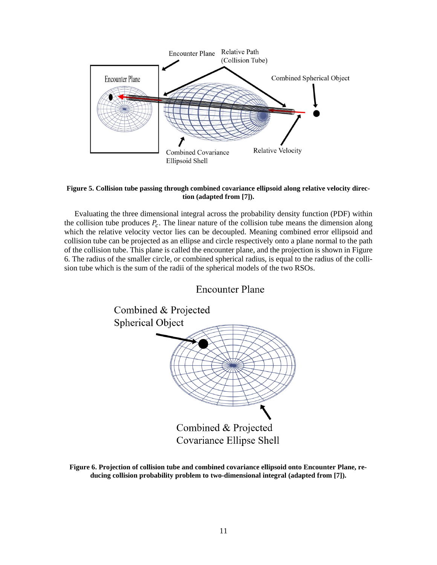

#### **Figure 5. Collision tube passing through combined covariance ellipsoid along relative velocity direction (adapted from [7]).**

Evaluating the three dimensional integral across the probability density function (PDF) within the collision tube produces  $P_c$ . The linear nature of the collision tube means the dimension along which the relative velocity vector lies can be decoupled. Meaning combined error ellipsoid and collision tube can be projected as an ellipse and circle respectively onto a plane normal to the path of the collision tube. This plane is called the encounter plane, and the projection is shown in Figure 6. The radius of the smaller circle, or combined spherical radius, is equal to the radius of the collision tube which is the sum of the radii of the spherical models of the two RSOs.



**Figure 6. Projection of collision tube and combined covariance ellipsoid onto Encounter Plane, reducing collision probability problem to two-dimensional integral (adapted from [7]).**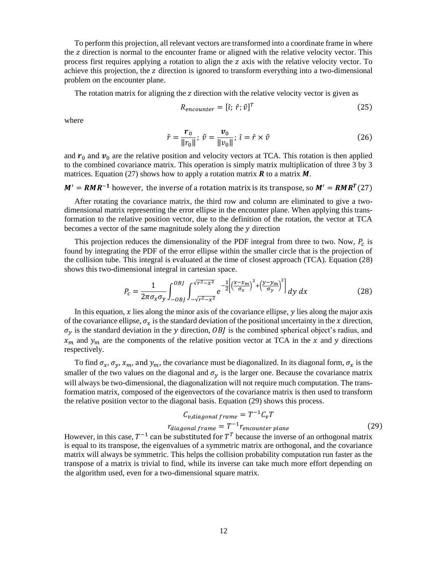To perform this projection, all relevant vectors are transformed into a coordinate frame in where the z direction is normal to the encounter frame or aligned with the relative velocity vector. This process first requires applying a rotation to align the z axis with the relative velocity vector. To achieve this projection, the  $z$  direction is ignored to transform everything into a two-dimensional problem on the encounter plane.

The rotation matrix for aligning the  $z$  direction with the relative velocity vector is given as

$$
R_{encounter} = [\hat{\iota}; \ \hat{r}; \hat{v}]^T
$$
\n(25)

where

$$
\hat{r} = \frac{\boldsymbol{r}_0}{\|\boldsymbol{r}_0\|}; \ \hat{v} = \frac{\boldsymbol{v}_0}{\|\boldsymbol{v}_0\|}; \ \hat{\imath} = \hat{r} \times \hat{v}
$$
\n(26)

and  $r_0$  and  $v_0$  are the relative position and velocity vectors at TCA. This rotation is then applied to the combined covariance matrix. This operation is simply matrix multiplication of three 3 by 3 matrices. Equation (27) shows how to apply a rotation matrix  $\bm{R}$  to a matrix  $\bm{M}$ .

 $M' = RMR^{-1}$  however, the inverse of a rotation matrix is its transpose, so  $M' = RMR^{T}(27)$ 

After rotating the covariance matrix, the third row and column are eliminated to give a twodimensional matrix representing the error ellipse in the encounter plane. When applying this transformation to the relative position vector, due to the definition of the rotation, the vector at TCA becomes a vector of the same magnitude solely along the  $y$  direction

This projection reduces the dimensionality of the PDF integral from three to two. Now,  $P_c$  is found by integrating the PDF of the error ellipse within the smaller circle that is the projection of the collision tube. This integral is evaluated at the time of closest approach (TCA). Equation (28) shows this two-dimensional integral in cartesian space.

$$
P_c = \frac{1}{2\pi\sigma_x\sigma_y} \int_{-OBI}^{OBI} \int_{-\sqrt{r^2 - x^2}}^{\sqrt{r^2 - x^2}} e^{-\frac{1}{2} \left[ \left(\frac{x - x_m}{\sigma_x}\right)^2 + \left(\frac{y - y_m}{\sigma_y}\right)^2 \right]} dy \, dx \tag{28}
$$

In this equation,  $x$  lies along the minor axis of the covariance ellipse,  $y$  lies along the major axis of the covariance ellipse,  $\sigma_x$  is the standard deviation of the positional uncertainty in the x direction,  $\sigma_y$  is the standard deviation in the y direction, OBJ is the combined spherical object's radius, and  $x_m$  and  $y_m$  are the components of the relative position vector at TCA in the x and y directions respectively.

To find  $\sigma_x$ ,  $\sigma_y$ ,  $x_m$ , and  $y_m$ , the covariance must be diagonalized. In its diagonal form,  $\sigma_x$  is the smaller of the two values on the diagonal and  $\sigma_{\gamma}$  is the larger one. Because the covariance matrix will always be two-dimensional, the diagonalization will not require much computation. The transformation matrix, composed of the eigenvectors of the covariance matrix is then used to transform the relative position vector to the diagonal basis. Equation (29) shows this process.

$$
C_{v,diagonal frame} = T^{-1}C_vT
$$
  
\n
$$
r_{diagonal frame} = T^{-1}r_{encounter plane}
$$
 (29)

However, in this case,  $T^{-1}$  can be substituted for  $T^{T}$  because the inverse of an orthogonal matrix is equal to its transpose, the eigenvalues of a symmetric matrix are orthogonal, and the covariance matrix will always be symmetric. This helps the collision probability computation run faster as the transpose of a matrix is trivial to find, while its inverse can take much more effort depending on the algorithm used, even for a two-dimensional square matrix.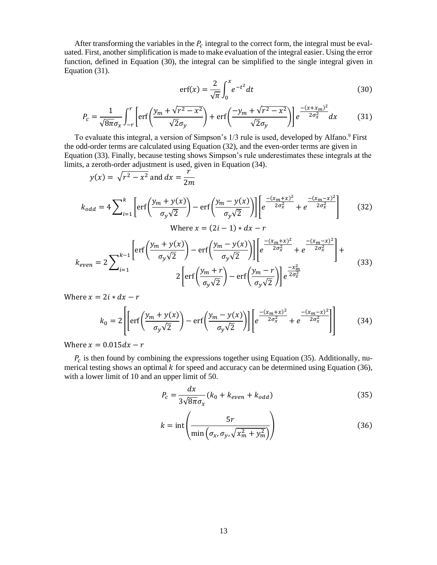After transforming the variables in the  $P_c$  integral to the correct form, the integral must be evaluated. First, another simplification is made to make evaluation of the integral easier. Using the error function, defined in Equation (30), the integral can be simplified to the single integral given in Equation (31).

$$
\operatorname{erf}(x) = \frac{2}{\sqrt{\pi}} \int_0^x e^{-t^2} dt \tag{30}
$$

$$
P_c = \frac{1}{\sqrt{8\pi}\sigma_x} \int_{-r}^{r} \left[ \text{erf}\left(\frac{y_m + \sqrt{r^2 - x^2}}{\sqrt{2}\sigma_y}\right) + \text{erf}\left(\frac{-y_m + \sqrt{r^2 - x^2}}{\sqrt{2}\sigma_y}\right) \right] e^{\frac{-(x + x_m)^2}{2\sigma_x^2}} dx \tag{31}
$$

To evaluate this integral, a version of Simpson's 1/3 rule is used, developed by Alfano.<sup>9</sup> First the odd-order terms are calculated using Equation (32), and the even-order terms are given in Equation (33). Finally, because testing shows Simpson's rule underestimates these integrals at the limits, a zeroth-order adjustment is used, given in Equation (34).

$$
y(x) = \sqrt{r^2 - x^2} \text{ and } dx = \frac{r^2}{2m}
$$
  
\n
$$
k_{odd} = 4 \sum_{i=1}^{k} \left[ erf\left(\frac{y_m + y(x)}{\sigma_y \sqrt{2}}\right) - erf\left(\frac{y_m - y(x)}{\sigma_y \sqrt{2}}\right) \right] \left[ e^{\frac{-(x_m + x)^2}{2\sigma_x^2}} + e^{\frac{-(x_m - x)^2}{2\sigma_x^2}} \right] \qquad (32)
$$
  
\nWhere  $x = (2i - 1) * dx - r$   
\n
$$
k_{even} = 2 \sum_{i=1}^{k-1} \left[ erf\left(\frac{y_m + y(x)}{\sigma_y \sqrt{2}}\right) - erf\left(\frac{y_m - y(x)}{\sigma_y \sqrt{2}}\right) \right] \left[ e^{\frac{-(x_m + x)^2}{2\sigma_x^2}} + e^{\frac{-(x_m - x)^2}{2\sigma_x^2}} \right] +
$$
  
\n
$$
2 \left[ erf\left(\frac{y_m + r}{\sigma_y \sqrt{2}}\right) - erf\left(\frac{y_m - r}{\sigma_y \sqrt{2}}\right) \right] e^{\frac{-x_m^2}{2\sigma_x^2}} \qquad (33)
$$

Where  $x = 2i * dx - r$ 

$$
k_0 = 2 \left[ \left[ erf \left( \frac{y_m + y(x)}{\sigma_y \sqrt{2}} \right) - erf \left( \frac{y_m - y(x)}{\sigma_y \sqrt{2}} \right) \right] \left[ e^{\frac{-(x_m + x)^2}{2\sigma_x^2}} + e^{\frac{-(x_m - x)^2}{2\sigma_x^2}} \right] \right]
$$
(34)

Where  $x = 0.015 dx - r$ 

 $P_c$  is then found by combining the expressions together using Equation (35). Additionally, numerical testing shows an optimal  $k$  for speed and accuracy can be determined using Equation (36), with a lower limit of 10 and an upper limit of 50.

$$
P_c = \frac{dx}{3\sqrt{8\pi}\sigma_x}(k_0 + k_{even} + k_{odd})
$$
\n(35)

$$
k = \text{int}\left(\frac{5r}{\min\left(\sigma_x, \sigma_y, \sqrt{x_m^2 + y_m^2}\right)}\right)
$$
(36)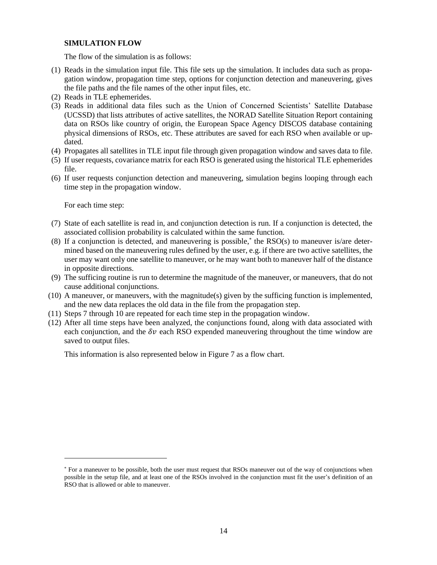## **SIMULATION FLOW**

The flow of the simulation is as follows:

- (1) Reads in the simulation input file. This file sets up the simulation. It includes data such as propagation window, propagation time step, options for conjunction detection and maneuvering, gives the file paths and the file names of the other input files, etc.
- (2) Reads in TLE ephemerides.
- (3) Reads in additional data files such as the Union of Concerned Scientists' Satellite Database (UCSSD) that lists attributes of active satellites, the NORAD Satellite Situation Report containing data on RSOs like country of origin, the European Space Agency DISCOS database containing physical dimensions of RSOs, etc. These attributes are saved for each RSO when available or updated.
- (4) Propagates all satellites in TLE input file through given propagation window and saves data to file.
- (5) If user requests, covariance matrix for each RSO is generated using the historical TLE ephemerides file.
- (6) If user requests conjunction detection and maneuvering, simulation begins looping through each time step in the propagation window.

For each time step:

- (7) State of each satellite is read in, and conjunction detection is run. If a conjunction is detected, the associated collision probability is calculated within the same function.
- $(8)$  If a conjunction is detected, and maneuvering is possible,<sup>\*</sup> the RSO $(s)$  to maneuver is/are determined based on the maneuvering rules defined by the user, e.g. if there are two active satellites, the user may want only one satellite to maneuver, or he may want both to maneuver half of the distance in opposite directions.
- (9) The sufficing routine is run to determine the magnitude of the maneuver, or maneuvers, that do not cause additional conjunctions.
- $(10)$  A maneuver, or maneuvers, with the magnitude(s) given by the sufficing function is implemented, and the new data replaces the old data in the file from the propagation step.
- (11) Steps 7 through 10 are repeated for each time step in the propagation window.
- (12) After all time steps have been analyzed, the conjunctions found, along with data associated with each conjunction, and the  $\delta v$  each RSO expended maneuvering throughout the time window are saved to output files.

This information is also represented below in Figure 7 as a flow chart.

<sup>\*</sup> For a maneuver to be possible, both the user must request that RSOs maneuver out of the way of conjunctions when possible in the setup file, and at least one of the RSOs involved in the conjunction must fit the user's definition of an RSO that is allowed or able to maneuver.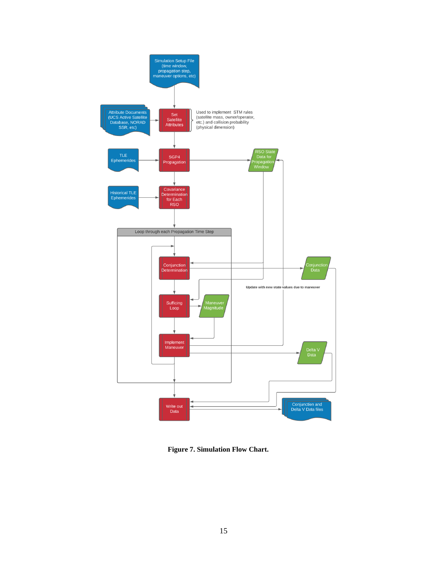

**Figure 7. Simulation Flow Chart.**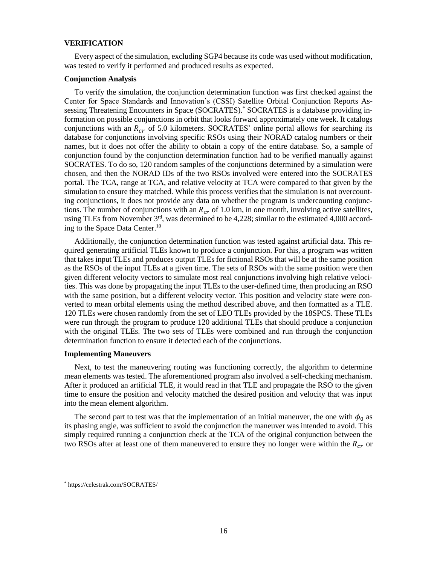#### **VERIFICATION**

Every aspect of the simulation, excluding SGP4 because its code was used without modification, was tested to verify it performed and produced results as expected.

#### **Conjunction Analysis**

To verify the simulation, the conjunction determination function was first checked against the Center for Space Standards and Innovation's (CSSI) Satellite Orbital Conjunction Reports Assessing Threatening Encounters in Space (SOCRATES).\* SOCRATES is a database providing information on possible conjunctions in orbit that looks forward approximately one week. It catalogs conjunctions with an  $R_{cr}$  of 5.0 kilometers. SOCRATES' online portal allows for searching its database for conjunctions involving specific RSOs using their NORAD catalog numbers or their names, but it does not offer the ability to obtain a copy of the entire database. So, a sample of conjunction found by the conjunction determination function had to be verified manually against SOCRATES. To do so, 120 random samples of the conjunctions determined by a simulation were chosen, and then the NORAD IDs of the two RSOs involved were entered into the SOCRATES portal. The TCA, range at TCA, and relative velocity at TCA were compared to that given by the simulation to ensure they matched. While this process verifies that the simulation is not overcounting conjunctions, it does not provide any data on whether the program is undercounting conjunctions. The number of conjunctions with an  $R_{cr}$  of 1.0 km, in one month, involving active satellites, using TLEs from November 3<sup>rd</sup>, was determined to be 4,228; similar to the estimated 4,000 according to the Space Data Center. 10

Additionally, the conjunction determination function was tested against artificial data. This required generating artificial TLEs known to produce a conjunction. For this, a program was written that takes input TLEs and produces output TLEs for fictional RSOs that will be at the same position as the RSOs of the input TLEs at a given time. The sets of RSOs with the same position were then given different velocity vectors to simulate most real conjunctions involving high relative velocities. This was done by propagating the input TLEs to the user-defined time, then producing an RSO with the same position, but a different velocity vector. This position and velocity state were converted to mean orbital elements using the method described above, and then formatted as a TLE. 120 TLEs were chosen randomly from the set of LEO TLEs provided by the 18SPCS. These TLEs were run through the program to produce 120 additional TLEs that should produce a conjunction with the original TLEs. The two sets of TLEs were combined and run through the conjunction determination function to ensure it detected each of the conjunctions.

#### **Implementing Maneuvers**

Next, to test the maneuvering routing was functioning correctly, the algorithm to determine mean elements was tested. The aforementioned program also involved a self-checking mechanism. After it produced an artificial TLE, it would read in that TLE and propagate the RSO to the given time to ensure the position and velocity matched the desired position and velocity that was input into the mean element algorithm.

The second part to test was that the implementation of an initial maneuver, the one with  $\phi_0$  as its phasing angle, was sufficient to avoid the conjunction the maneuver was intended to avoid. This simply required running a conjunction check at the TCA of the original conjunction between the two RSOs after at least one of them maneuvered to ensure they no longer were within the  $R_{cr}$  or

<sup>\*</sup> https://celestrak.com/SOCRATES/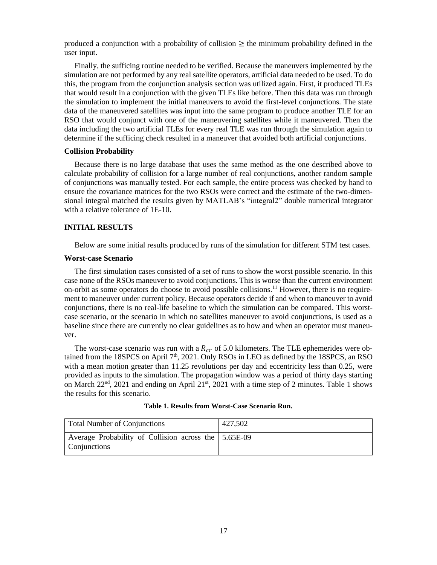produced a conjunction with a probability of collision  $\geq$  the minimum probability defined in the user input.

Finally, the sufficing routine needed to be verified. Because the maneuvers implemented by the simulation are not performed by any real satellite operators, artificial data needed to be used. To do this, the program from the conjunction analysis section was utilized again. First, it produced TLEs that would result in a conjunction with the given TLEs like before. Then this data was run through the simulation to implement the initial maneuvers to avoid the first-level conjunctions. The state data of the maneuvered satellites was input into the same program to produce another TLE for an RSO that would conjunct with one of the maneuvering satellites while it maneuvered. Then the data including the two artificial TLEs for every real TLE was run through the simulation again to determine if the sufficing check resulted in a maneuver that avoided both artificial conjunctions.

#### **Collision Probability**

Because there is no large database that uses the same method as the one described above to calculate probability of collision for a large number of real conjunctions, another random sample of conjunctions was manually tested. For each sample, the entire process was checked by hand to ensure the covariance matrices for the two RSOs were correct and the estimate of the two-dimensional integral matched the results given by MATLAB's "integral2" double numerical integrator with a relative tolerance of 1E-10.

#### **INITIAL RESULTS**

Below are some initial results produced by runs of the simulation for different STM test cases.

## **Worst-case Scenario**

The first simulation cases consisted of a set of runs to show the worst possible scenario. In this case none of the RSOs maneuver to avoid conjunctions. This is worse than the current environment on-orbit as some operators do choose to avoid possible collisions.<sup>11</sup> However, there is no requirement to maneuver under current policy. Because operators decide if and when to maneuver to avoid conjunctions, there is no real-life baseline to which the simulation can be compared. This worstcase scenario, or the scenario in which no satellites maneuver to avoid conjunctions, is used as a baseline since there are currently no clear guidelines as to how and when an operator must maneuver.

The worst-case scenario was run with a  $R_{cr}$  of 5.0 kilometers. The TLE ephemerides were obtained from the 18SPCS on April  $7<sup>th</sup>$ , 2021. Only RSOs in LEO as defined by the 18SPCS, an RSO with a mean motion greater than 11.25 revolutions per day and eccentricity less than 0.25, were provided as inputs to the simulation. The propagation window was a period of thirty days starting on March  $22<sup>nd</sup>$ ,  $2021$  and ending on April  $21<sup>st</sup>$ ,  $2021$  with a time step of 2 minutes. Table 1 shows the results for this scenario.

|   |  | Table 1. Results from Worst-Case Scenario Run. |
|---|--|------------------------------------------------|
| . |  |                                                |

| <b>Total Number of Conjunctions</b>                                  | 427,502 |
|----------------------------------------------------------------------|---------|
| Average Probability of Collision across the 5.65E-09<br>Conjunctions |         |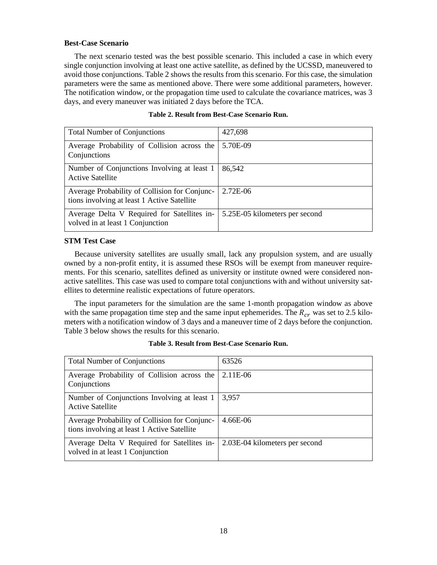## **Best-Case Scenario**

The next scenario tested was the best possible scenario. This included a case in which every single conjunction involving at least one active satellite, as defined by the UCSSD, maneuvered to avoid those conjunctions. Table 2 shows the results from this scenario. For this case, the simulation parameters were the same as mentioned above. There were some additional parameters, however. The notification window, or the propagation time used to calculate the covariance matrices, was 3 days, and every maneuver was initiated 2 days before the TCA.

| <b>Total Number of Conjunctions</b>                                                          | 427,698                        |
|----------------------------------------------------------------------------------------------|--------------------------------|
| Average Probability of Collision across the<br>Conjunctions                                  | 5.70E-09                       |
| Number of Conjunctions Involving at least 1<br><b>Active Satellite</b>                       | 86,542                         |
| Average Probability of Collision for Conjunc-<br>tions involving at least 1 Active Satellite | $2.72E-06$                     |
| Average Delta V Required for Satellites in-<br>volved in at least 1 Conjunction              | 5.25E-05 kilometers per second |

#### **Table 2. Result from Best-Case Scenario Run.**

## **STM Test Case**

Because university satellites are usually small, lack any propulsion system, and are usually owned by a non-profit entity, it is assumed these RSOs will be exempt from maneuver requirements. For this scenario, satellites defined as university or institute owned were considered nonactive satellites. This case was used to compare total conjunctions with and without university satellites to determine realistic expectations of future operators.

The input parameters for the simulation are the same 1-month propagation window as above with the same propagation time step and the same input ephemerides. The  $R_{cr}$  was set to 2.5 kilometers with a notification window of 3 days and a maneuver time of 2 days before the conjunction. Table 3 below shows the results for this scenario.

| <b>Total Number of Conjunctions</b>                                                          | 63526                          |
|----------------------------------------------------------------------------------------------|--------------------------------|
| Average Probability of Collision across the<br>Conjunctions                                  | 2.11E-06                       |
| Number of Conjunctions Involving at least 1<br><b>Active Satellite</b>                       | 3,957                          |
| Average Probability of Collision for Conjunc-<br>tions involving at least 1 Active Satellite | $4.66E-06$                     |
| Average Delta V Required for Satellites in-<br>volved in at least 1 Conjunction              | 2.03E-04 kilometers per second |

#### **Table 3. Result from Best-Case Scenario Run.**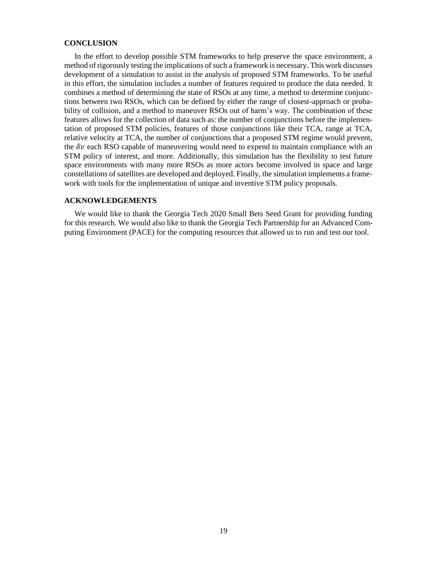#### **CONCLUSION**

In the effort to develop possible STM frameworks to help preserve the space environment, a method of rigorously testing the implications of such a framework is necessary. This work discusses development of a simulation to assist in the analysis of proposed STM frameworks. To be useful in this effort, the simulation includes a number of features required to produce the data needed. It combines a method of determining the state of RSOs at any time, a method to determine conjunctions between two RSOs, which can be defined by either the range of closest-approach or probability of collision, and a method to maneuver RSOs out of harm's way. The combination of these features allows for the collection of data such as: the number of conjunctions before the implementation of proposed STM policies, features of those conjunctions like their TCA, range at TCA, relative velocity at TCA, the number of conjunctions that a proposed STM regime would prevent, the  $\delta v$  each RSO capable of maneuvering would need to expend to maintain compliance with an STM policy of interest, and more. Additionally, this simulation has the flexibility to test future space environments with many more RSOs as more actors become involved in space and large constellations of satellites are developed and deployed. Finally, the simulation implements a framework with tools for the implementation of unique and inventive STM policy proposals.

## **ACKNOWLEDGEMENTS**

We would like to thank the Georgia Tech 2020 Small Bets Seed Grant for providing funding for this research. We would also like to thank the Georgia Tech Partnership for an Advanced Computing Environment (PACE) for the computing resources that allowed us to run and test our tool.